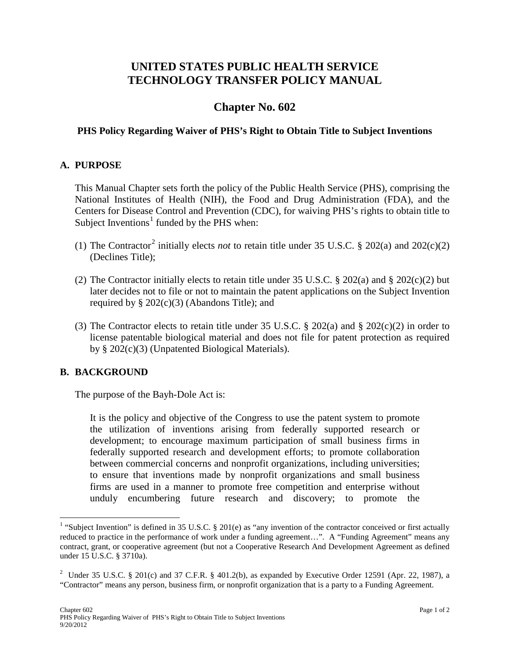# **UNITED STATES PUBLIC HEALTH SERVICE TECHNOLOGY TRANSFER POLICY MANUAL**

## **Chapter No. 602**

#### **PHS Policy Regarding Waiver of PHS's Right to Obtain Title to Subject Inventions**

#### **A. PURPOSE**

This Manual Chapter sets forth the policy of the Public Health Service (PHS), comprising the National Institutes of Health (NIH), the Food and Drug Administration (FDA), and the Centers for Disease Control and Prevention (CDC), for waiving PHS's rights to obtain title to Subject Inventions<sup>[1](#page-0-0)</sup> funded by the PHS when:

- (1) The Contractor<sup>[2](#page-0-1)</sup> initially elects *not* to retain title under 35 U.S.C. § 202(a) and 202(c)(2) (Declines Title);
- (2) The Contractor initially elects to retain title under 35 U.S.C. § 202(a) and § 202(c)(2) but later decides not to file or not to maintain the patent applications on the Subject Invention required by  $\S 202(c)(3)$  (Abandons Title); and
- (3) The Contractor elects to retain title under 35 U.S.C.  $\S$  202(a) and  $\S$  202(c)(2) in order to license patentable biological material and does not file for patent protection as required by § 202(c)(3) (Unpatented Biological Materials).

#### **B. BACKGROUND**

The purpose of the Bayh-Dole Act is:

It is the policy and objective of the Congress to use the patent system to promote the utilization of inventions arising from federally supported research or development; to encourage maximum participation of small business firms in federally supported research and development efforts; to promote collaboration between commercial concerns and nonprofit organizations, including universities; to ensure that inventions made by nonprofit organizations and small business firms are used in a manner to promote free competition and enterprise without unduly encumbering future research and discovery; to promote the

<span id="page-0-0"></span><sup>&</sup>lt;sup>1</sup> "Subject Invention" is defined in 35 U.S.C. § 201(e) as "any invention of the contractor conceived or first actually reduced to practice in the performance of work under a funding agreement…". A "Funding Agreement" means any contract, grant, or cooperative agreement (but not a Cooperative Research And Development Agreement as defined under 15 U.S.C. § 3710a).

<span id="page-0-1"></span><sup>&</sup>lt;sup>2</sup> Under 35 U.S.C. § 201(c) and 37 C.F.R. § 401.2(b), as expanded by Executive Order 12591 (Apr. 22, 1987), a "Contractor" means any person, business firm, or nonprofit organization that is a party to a Funding Agreement.